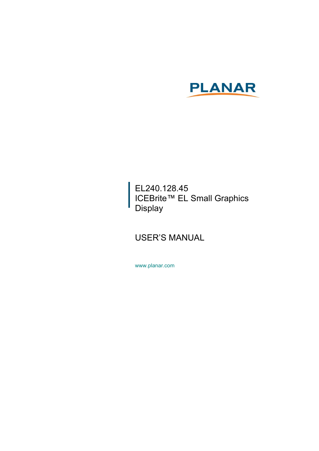

EL240.128.45 ICEBrite™ EL Small Graphics **Display** 

## USER'S MANUAL

www.planar.com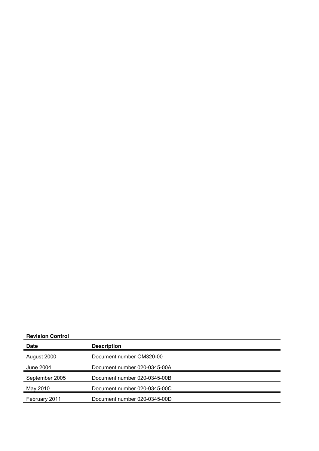#### **Revision Control**

| <b>Revision Control</b> |                              |
|-------------------------|------------------------------|
| <b>Date</b>             | <b>Description</b>           |
| August 2000             | Document number OM320-00     |
| June 2004               | Document number 020-0345-00A |
| September 2005          | Document number 020-0345-00B |
| May 2010                | Document number 020-0345-00C |
| February 2011           | Document number 020-0345-00D |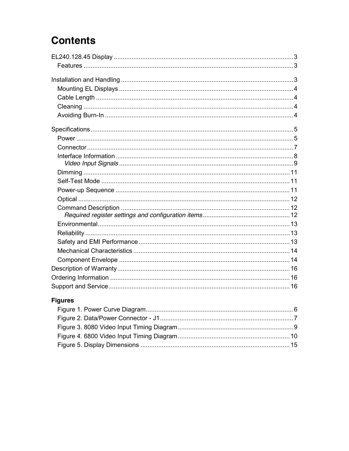# **Contents**

## **Figures**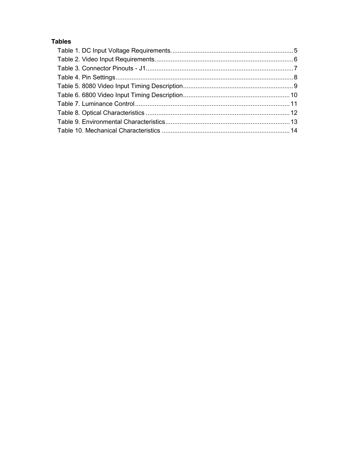### **Tables**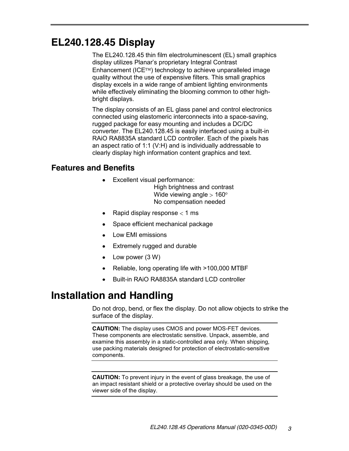## **EL240.128.45 Display**

The EL240.128.45 thin film electroluminescent (EL) small graphics display utilizes Planar's proprietary Integral Contrast Enhancement ( $ICE^{TM}$ ) technology to achieve unparalleled image quality without the use of expensive filters. This small graphics display excels in a wide range of ambient lighting environments while effectively eliminating the blooming common to other highbright displays.

The display consists of an EL glass panel and control electronics connected using elastomeric interconnects into a space-saving, rugged package for easy mounting and includes a DC/DC converter. The EL240.128.45 is easily interfaced using a built-in RAiO RA8835A standard LCD controller. Each of the pixels has an aspect ratio of 1:1 (V:H) and is individually addressable to clearly display high information content graphics and text.

#### **Features and Benefits**

• Excellent visual performance:

High brightness and contrast Wide viewing angle  $> 160^\circ$ No compensation needed

- Rapid display response  $<$  1 ms
- Space efficient mechanical package
- Low EMI emissions
- Extremely rugged and durable
- Low power (3 W)
- Reliable, long operating life with >100,000 MTBF
- Built-in RAiO RA8835A standard LCD controller

## **Installation and Handling**

Do not drop, bend, or flex the display. Do not allow objects to strike the surface of the display.

**CAUTION:** The display uses CMOS and power MOS-FET devices. These components are electrostatic sensitive. Unpack, assemble, and examine this assembly in a static-controlled area only. When shipping, use packing materials designed for protection of electrostatic-sensitive components.

**CAUTION:** To prevent injury in the event of glass breakage, the use of an impact resistant shield or a protective overlay should be used on the viewer side of the display.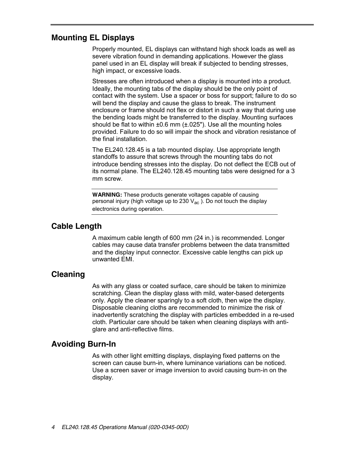#### **Mounting EL Displays**

Properly mounted, EL displays can withstand high shock loads as well as severe vibration found in demanding applications. However the glass panel used in an EL display will break if subjected to bending stresses, high impact, or excessive loads.

Stresses are often introduced when a display is mounted into a product. Ideally, the mounting tabs of the display should be the only point of contact with the system. Use a spacer or boss for support; failure to do so will bend the display and cause the glass to break. The instrument enclosure or frame should not flex or distort in such a way that during use the bending loads might be transferred to the display. Mounting surfaces should be flat to within  $\pm 0.6$  mm ( $\pm .025$ "). Use all the mounting holes provided. Failure to do so will impair the shock and vibration resistance of the final installation.

The EL240.128.45 is a tab mounted display. Use appropriate length standoffs to assure that screws through the mounting tabs do not introduce bending stresses into the display. Do not deflect the ECB out of its normal plane. The EL240.128.45 mounting tabs were designed for a 3 mm screw.

**WARNING:** These products generate voltages capable of causing personal injury (high voltage up to 230  $V_{ac}$ ). Do not touch the display electronics during operation.

#### **Cable Length**

A maximum cable length of 600 mm (24 in.) is recommended. Longer cables may cause data transfer problems between the data transmitted and the display input connector. Excessive cable lengths can pick up unwanted EMI.

## **Cleaning**

As with any glass or coated surface, care should be taken to minimize scratching. Clean the display glass with mild, water-based detergents only. Apply the cleaner sparingly to a soft cloth, then wipe the display. Disposable cleaning cloths are recommended to minimize the risk of inadvertently scratching the display with particles embedded in a re-used cloth. Particular care should be taken when cleaning displays with antiglare and anti-reflective films.

## **Avoiding Burn-In**

As with other light emitting displays, displaying fixed patterns on the screen can cause burn-in, where luminance variations can be noticed. Use a screen saver or image inversion to avoid causing burn-in on the display.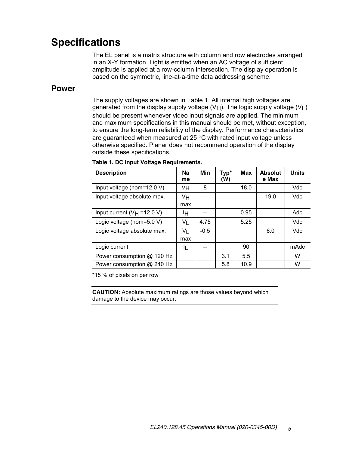## **Specifications**

The EL panel is a matrix structure with column and row electrodes arranged in an X-Y formation. Light is emitted when an AC voltage of sufficient amplitude is applied at a row-column intersection. The display operation is based on the symmetric, line-at-a-time data addressing scheme.

#### **Power**

The supply voltages are shown in Table 1. All internal high voltages are generated from the display supply voltage (V<sub>H</sub>). The logic supply voltage (V<sub>L</sub>) should be present whenever video input signals are applied. The minimum and maximum specifications in this manual should be met, without exception, to ensure the long-term reliability of the display. Performance characteristics are guaranteed when measured at  $25^{\circ}$ C with rated input voltage unless otherwise specified. Planar does not recommend operation of the display outside these specifications.

| <b>Description</b>             | Na<br>me | Min    | Typ*<br>(W) | <b>Max</b> | <b>Absolut</b><br>e Max | <b>Units</b> |
|--------------------------------|----------|--------|-------------|------------|-------------------------|--------------|
| Input voltage (nom=12.0 V)     | Vн       | 8      |             | 18.0       |                         | Vdc          |
| Input voltage absolute max.    | Vн       |        |             |            | 19.0                    | Vdc          |
|                                | max      |        |             |            |                         |              |
| Input current $(V_H = 12.0 V)$ | ŀΗ       |        |             | 0.95       |                         | Adc          |
| Logic voltage (nom=5.0 V)      | VL       | 4.75   |             | 5.25       |                         | Vdc          |
| Logic voltage absolute max.    | Vı       | $-0.5$ |             |            | 6.0                     | Vdc          |
|                                | max      |        |             |            |                         |              |
| Logic current                  | IL       |        |             | 90         |                         | mAdc         |
| Power consumption @ 120 Hz     |          |        | 3.1         | 5.5        |                         | W            |
| Power consumption @ 240 Hz     |          |        | 5.8         | 10.9       |                         | W            |

#### **Table 1. DC Input Voltage Requirements.**

\*15 % of pixels on per row

**CAUTION:** Absolute maximum ratings are those values beyond which damage to the device may occur.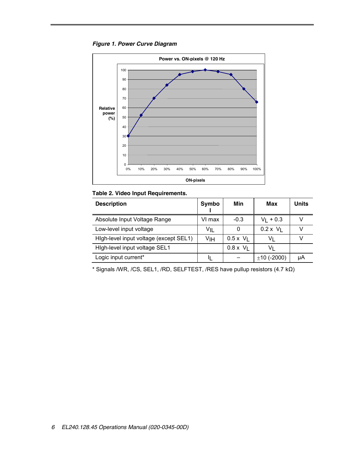



#### **Table 2. Video Input Requirements.**

| <b>Description</b>                     | <b>Symbo</b> | Min              | Max            | Units |
|----------------------------------------|--------------|------------------|----------------|-------|
| Absolute Input Voltage Range           | VI max       | $-0.3$           | $V_1$ + 0.3    |       |
| Low-level input voltage                | VIL          |                  | $0.2 \times V$ |       |
| High-level input voltage (except SEL1) | ٧ιн          | $0.5 \times V$   | V١             |       |
| High-level input voltage SEL1          |              | $0.8 \times V_1$ | V١             |       |
| Logic input current*                   |              |                  | $±10$ (-2000)  | μA    |

\* Signals /WR, /CS, SEL1, /RD, SELFTEST, /RES have pullup resistors (4.7 kΩ)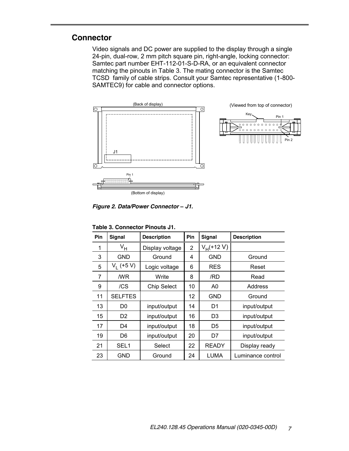#### **Connector**

Video signals and DC power are supplied to the display through a single 24-pin, dual-row, 2 mm pitch square pin, right-angle, locking connector: Samtec part number EHT-112-01-S-D-RA, or an equivalent connector matching the pinouts in Table 3. The mating connector is the Samtec TCSD family of cable strips. Consult your Samtec representative (1-800- SAMTEC9) for cable and connector options.



*Figure 2. Data/Power Connector – J1.*

| Pin | <b>Signal</b>    | <b>Description</b> | Pin            | <b>Signal</b>  | <b>Description</b> |
|-----|------------------|--------------------|----------------|----------------|--------------------|
| 1   | V <sub>Н</sub>   | Display voltage    | $\overline{2}$ | $V_H$ (+12 V)  |                    |
| 3   | <b>GND</b>       | Ground             | 4              | GND            | Ground             |
| 5   | $V_1$ (+5 V)     | Logic voltage      | 6              | <b>RES</b>     | Reset              |
| 7   | /WR              | Write              | 8              | /RD            | Read               |
| 9   | /CS              | <b>Chip Select</b> | 10             | A0             | Address            |
| 11  | <b>SELFTES</b>   |                    | 12             | <b>GND</b>     | Ground             |
| 13  | D0               | input/output       | 14             | D1             | input/output       |
| 15  | D <sub>2</sub>   | input/output       | 16             | D <sub>3</sub> | input/output       |
| 17  | D4               | input/output       | 18             | D5             | input/output       |
| 19  | D6               | input/output       | 20             | D7             | input/output       |
| 21  | SEL <sub>1</sub> | Select             | 22             | <b>READY</b>   | Display ready      |
| 23  | GND              | Ground             | 24             | LUMA           | Luminance control  |

**Table 3. Connector Pinouts J1.**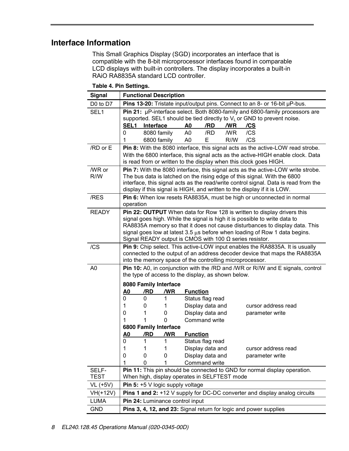## **Interface Information**

This Small Graphics Display (SGD) incorporates an interface that is compatible with the 8-bit microprocessor interfaces found in comparable LCD displays with built-in controllers. The display incorporates a built-in RAiO RA8835A standard LCD controller.

| <b>Signal</b>    | <b>Functional Description</b>                                                                                                                        |                                                                |                                                                                                                                                                     |  |  |  |  |  |
|------------------|------------------------------------------------------------------------------------------------------------------------------------------------------|----------------------------------------------------------------|---------------------------------------------------------------------------------------------------------------------------------------------------------------------|--|--|--|--|--|
| D0 to D7         | Pins 13-20: Tristate input/output pins. Connect to an 8- or 16-bit µP-bus.                                                                           |                                                                |                                                                                                                                                                     |  |  |  |  |  |
| SEL <sub>1</sub> | Pin 21: µP-interface select. Both 8080-family and 6800-family processors are                                                                         |                                                                |                                                                                                                                                                     |  |  |  |  |  |
|                  |                                                                                                                                                      |                                                                | supported. SEL1 should be tied directly to $VL$ or GND to prevent noise.                                                                                            |  |  |  |  |  |
|                  | <b>SEL1</b><br>Interface                                                                                                                             | /RD<br>/WR<br>A0                                               | /CS                                                                                                                                                                 |  |  |  |  |  |
|                  | 8080 family<br>0                                                                                                                                     | A <sub>0</sub><br>/RD<br>/WR                                   | /CS                                                                                                                                                                 |  |  |  |  |  |
|                  | 6800 family<br>1                                                                                                                                     | A0<br>Е<br>R/M                                                 | /CS                                                                                                                                                                 |  |  |  |  |  |
| /RD or E         |                                                                                                                                                      |                                                                | Pin 8: With the 8080 interface, this signal acts as the active-LOW read strobe.                                                                                     |  |  |  |  |  |
|                  | With the 6800 interface, this signal acts as the active-HIGH enable clock. Data<br>is read from or written to the display when this clock goes HIGH. |                                                                |                                                                                                                                                                     |  |  |  |  |  |
|                  |                                                                                                                                                      |                                                                |                                                                                                                                                                     |  |  |  |  |  |
| /WR or<br>R/M    |                                                                                                                                                      |                                                                | <b>Pin 7:</b> With the 8080 interface, this signal acts as the active-LOW write strobe.<br>The bus data is latched on the rising edge of this signal. With the 6800 |  |  |  |  |  |
|                  |                                                                                                                                                      |                                                                | interface, this signal acts as the read/write control signal. Data is read from the                                                                                 |  |  |  |  |  |
|                  |                                                                                                                                                      |                                                                | display if this signal is HIGH, and written to the display if it is LOW.                                                                                            |  |  |  |  |  |
| /RES             |                                                                                                                                                      |                                                                | Pin 6: When low resets RA8835A, must be high or unconnected in normal                                                                                               |  |  |  |  |  |
|                  | operation                                                                                                                                            |                                                                |                                                                                                                                                                     |  |  |  |  |  |
| <b>READY</b>     |                                                                                                                                                      |                                                                | Pin 22: OUTPUT When data for Row 128 is written to display drivers this                                                                                             |  |  |  |  |  |
|                  |                                                                                                                                                      |                                                                | signal goes high. While the signal is high it is possible to write data to                                                                                          |  |  |  |  |  |
|                  |                                                                                                                                                      |                                                                | RA8835A memory so that it does not cause disturbances to display data. This                                                                                         |  |  |  |  |  |
|                  |                                                                                                                                                      | Signal READY output is CMOS with 100 $\Omega$ series resistor. | signal goes low at latest 3.5 us before when loading of Row 1 data begins.                                                                                          |  |  |  |  |  |
|                  |                                                                                                                                                      |                                                                |                                                                                                                                                                     |  |  |  |  |  |
| /CS              |                                                                                                                                                      |                                                                | <b>Pin 9:</b> Chip select. This active-LOW input enables the RA8835A. It is usually<br>connected to the output of an address decoder device that maps the RA8835A   |  |  |  |  |  |
|                  |                                                                                                                                                      | into the memory space of the controlling microprocessor.       |                                                                                                                                                                     |  |  |  |  |  |
| A <sub>0</sub>   |                                                                                                                                                      |                                                                | Pin 10: A0, in conjunction with the /RD and /WR or R/W and E signals, control                                                                                       |  |  |  |  |  |
|                  |                                                                                                                                                      | the type of access to the display, as shown below.             |                                                                                                                                                                     |  |  |  |  |  |
|                  | 8080 Family Interface                                                                                                                                |                                                                |                                                                                                                                                                     |  |  |  |  |  |
|                  | A <sub>0</sub><br>/RD<br>/WR                                                                                                                         | <b>Function</b>                                                |                                                                                                                                                                     |  |  |  |  |  |
|                  | 0<br>0<br>1                                                                                                                                          | Status flag read                                               |                                                                                                                                                                     |  |  |  |  |  |
|                  | 1<br>0<br>1                                                                                                                                          | Display data and                                               | cursor address read                                                                                                                                                 |  |  |  |  |  |
|                  | 0<br>0<br>1                                                                                                                                          | Display data and                                               | parameter write                                                                                                                                                     |  |  |  |  |  |
|                  | 1<br>$\Omega$<br>1                                                                                                                                   | <b>Command write</b>                                           |                                                                                                                                                                     |  |  |  |  |  |
|                  | 6800 Family Interface                                                                                                                                |                                                                |                                                                                                                                                                     |  |  |  |  |  |
|                  | A <sub>0</sub><br>/WR<br>/RD                                                                                                                         | <b>Function</b>                                                |                                                                                                                                                                     |  |  |  |  |  |
|                  | 1<br>1<br>0                                                                                                                                          | Status flag read                                               |                                                                                                                                                                     |  |  |  |  |  |
|                  | $\mathbf{1}$<br>$\mathbf{1}$<br>1                                                                                                                    | Display data and                                               | cursor address read                                                                                                                                                 |  |  |  |  |  |
|                  | 0<br>0<br>0<br>1<br>0<br>1                                                                                                                           | Display data and<br>Command write                              | parameter write                                                                                                                                                     |  |  |  |  |  |
| SELF-            |                                                                                                                                                      |                                                                | Pin 11: This pin should be connected to GND for normal display operation.                                                                                           |  |  |  |  |  |
| <b>TEST</b>      |                                                                                                                                                      | When high, display operates in SELFTEST mode                   |                                                                                                                                                                     |  |  |  |  |  |
| VL (+5V)         | Pin 5: +5 V logic supply voltage                                                                                                                     |                                                                |                                                                                                                                                                     |  |  |  |  |  |
| VH(+12V)         | Pins 1 and 2: +12 V supply for DC-DC converter and display analog circuits                                                                           |                                                                |                                                                                                                                                                     |  |  |  |  |  |
| LUMA             | Pin 24: Luminance control input                                                                                                                      |                                                                |                                                                                                                                                                     |  |  |  |  |  |
| <b>GND</b>       |                                                                                                                                                      |                                                                |                                                                                                                                                                     |  |  |  |  |  |
|                  | Pins 3, 4, 12, and 23: Signal return for logic and power supplies                                                                                    |                                                                |                                                                                                                                                                     |  |  |  |  |  |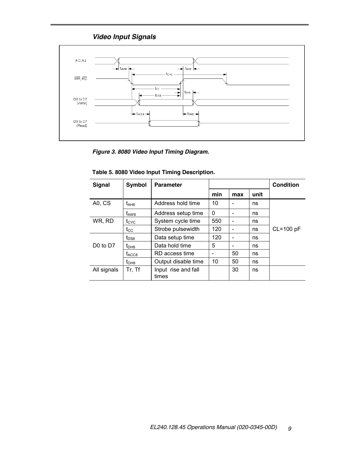### *Video Input Signals*



*Figure 3. 8080 Video Input Timing Diagram.*

| <b>Signal</b>                    | Symbol            | <b>Parameter</b>             |     |     |      | Condition   |
|----------------------------------|-------------------|------------------------------|-----|-----|------|-------------|
|                                  |                   |                              | min | max | unit |             |
| A0, CS                           | t <sub>AH8</sub>  | Address hold time            | 10  |     | ns   |             |
|                                  | $t_{\rm AW8}$     | Address setup time           | 0   |     | ns   |             |
| WR, RD                           | t <sub>CYC</sub>  | System cycle time            | 550 |     | ns   |             |
|                                  | $t_{\rm CC}$      | Strobe pulsewidth            | 120 |     | ns   | $CL=100$ pF |
|                                  | $t_{DS8}$         | Data setup time              | 120 |     | ns   |             |
| D <sub>0</sub> to D <sub>7</sub> | $t_{DHB}$         | Data hold time               | 5   |     | ns   |             |
|                                  | $t_{\text{ACC8}}$ | RD access time               | -   | 50  | ns   |             |
|                                  | $t_{OHB}$         | Output disable time          | 10  | 50  | ns   |             |
| All signals                      | Tr, Tf            | Input rise and fall<br>times |     | 30  | ns   |             |

| Table 5. 8080 Video Input Timing Description. |  |  |  |
|-----------------------------------------------|--|--|--|
|-----------------------------------------------|--|--|--|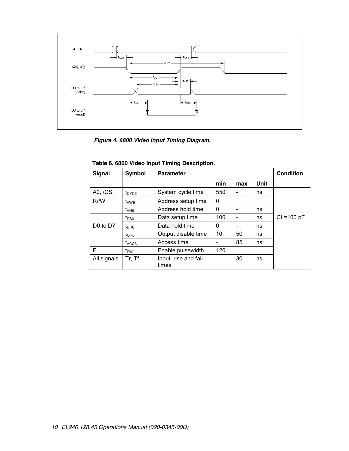

*Figure 4. 6800 Video Input Timing Diagram.*

| <b>Signal</b>                    | Symbol            | <b>Parameter</b>             |              |     |      | <b>Condition</b> |
|----------------------------------|-------------------|------------------------------|--------------|-----|------|------------------|
|                                  |                   |                              | min          | max | Unit |                  |
| A0, /CS,                         | $t_{CYCG}$        | System cycle time            | 550          | -   | ns   |                  |
| R/M                              | t <sub>AW6</sub>  | Address setup time           | $\mathbf{0}$ |     |      |                  |
|                                  | t <sub>AH6</sub>  | Address hold time            | 0            |     | ns   |                  |
|                                  | $t_{\rm DSS}$     | Data setup time              | 100          |     | ns   | $CL=100$ pF      |
| D <sub>0</sub> to D <sub>7</sub> | $t_{\text{DH6}}$  | Data hold time               | 0            |     | ns   |                  |
|                                  | $t_{OHB}$         | Output disable time          | 10           | 50  | ns   |                  |
|                                  | t <sub>ACC6</sub> | Access time                  |              | 85  | ns   |                  |
| Е                                | t <sub>EW</sub>   | Enable pulsewidth            | 120          |     |      |                  |
| All signals                      | Tr, Tf            | Input rise and fall<br>times |              | 30  | ns   |                  |

**Table 6. 6800 Video Input Timing Description.**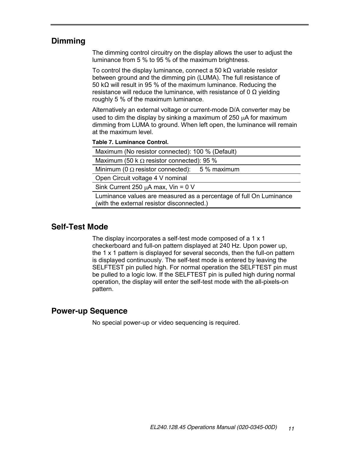## **Dimming**

The dimming control circuitry on the display allows the user to adjust the luminance from 5 % to 95 % of the maximum brightness.

To control the display luminance, connect a 50 k $\Omega$  variable resistor between ground and the dimming pin (LUMA). The full resistance of 50 kΩ will result in 95 % of the maximum luminance. Reducing the resistance will reduce the luminance, with resistance of 0 Ω yielding roughly 5 % of the maximum luminance.

Alternatively an external voltage or current-mode D/A converter may be used to dim the display by sinking a maximum of  $250 \mu A$  for maximum dimming from LUMA to ground. When left open, the luminance will remain at the maximum level.

#### **Table 7. Luminance Control.**

| Maximum (No resistor connected): 100 % (Default)                                                                 |
|------------------------------------------------------------------------------------------------------------------|
| Maximum (50 k $\Omega$ resistor connected): 95 %                                                                 |
| Minimum (0 $\Omega$ resistor connected): 5 % maximum                                                             |
| Open Circuit voltage 4 V nominal                                                                                 |
| Sink Current 250 $\mu$ A max, Vin = 0 V                                                                          |
| Luminance values are measured as a percentage of full On Luminance<br>(with the external resistor disconnected.) |

#### **Self-Test Mode**

The display incorporates a self-test mode composed of a 1 x 1 checkerboard and full-on pattern displayed at 240 Hz. Upon power up, the 1 x 1 pattern is displayed for several seconds, then the full-on pattern is displayed continuously. The self-test mode is entered by leaving the SELFTEST pin pulled high. For normal operation the SELFTEST pin must be pulled to a logic low. If the SELFTEST pin is pulled high during normal operation, the display will enter the self-test mode with the all-pixels-on pattern.

#### **Power-up Sequence**

No special power-up or video sequencing is required.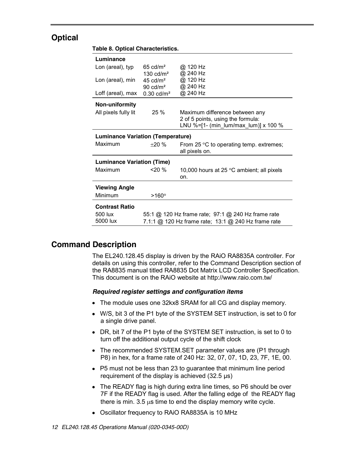## **Optical**

#### **Table 8. Optical Characteristics.**

| Luminance                                |                                                     |                                                    |  |
|------------------------------------------|-----------------------------------------------------|----------------------------------------------------|--|
| Lon (areal), typ                         | $65 \text{ cd/m}^2$                                 | @ 120 Hz                                           |  |
|                                          | $130 \text{ cd/m}^2$                                | @ 240 Hz                                           |  |
| Lon (areal), min                         | 45 cd/ $m2$                                         | @ 120 Hz                                           |  |
| Loff (areal), max                        | 90 $\text{cd/m}^2$<br>$0.30 \text{ cd/m}^2$         | @ 240 Hz<br>@ 240 Hz                               |  |
|                                          |                                                     |                                                    |  |
| Non-uniformity                           |                                                     |                                                    |  |
| All pixels fully lit                     | 25%                                                 | Maximum difference between any                     |  |
|                                          |                                                     | 2 of 5 points, using the formula:                  |  |
|                                          |                                                     | LNU %=[1- (min_lum/max_lum)] x 100 %               |  |
| <b>Luminance Variation (Temperature)</b> |                                                     |                                                    |  |
| Maximum                                  | $+20\%$                                             | From 25 $\degree$ C to operating temp. extremes;   |  |
|                                          |                                                     | all pixels on.                                     |  |
| <b>Luminance Variation (Time)</b>        |                                                     |                                                    |  |
| Maximum                                  | $20\%$                                              | 10,000 hours at 25 $\degree$ C ambient; all pixels |  |
|                                          |                                                     | on.                                                |  |
| <b>Viewing Angle</b>                     |                                                     |                                                    |  |
| Minimum                                  | $>160^\circ$                                        |                                                    |  |
|                                          |                                                     |                                                    |  |
| <b>Contrast Ratio</b>                    |                                                     |                                                    |  |
| 500 lux                                  | 55:1 @ 120 Hz frame rate; 97:1 @ 240 Hz frame rate  |                                                    |  |
| 5000 lux                                 | 7.1:1 @ 120 Hz frame rate; 13:1 @ 240 Hz frame rate |                                                    |  |
|                                          |                                                     |                                                    |  |

## **Command Description**

The EL240.128.45 display is driven by the RAiO RA8835A controller. For details on using this controller, refer to the Command Description section of the RA8835 manual titled RA8835 Dot Matrix LCD Controller Specification. This document is on the RAiO website at http://www.raio.com.tw/

#### *Required register settings and configuration items*

- The module uses one 32kx8 SRAM for all CG and display memory.
- W/S, bit 3 of the P1 byte of the SYSTEM SET instruction, is set to 0 for a single drive panel.
- DR, bit 7 of the P1 byte of the SYSTEM SET instruction, is set to 0 to turn off the additional output cycle of the shift clock
- The recommended SYSTEM.SET parameter values are (P1 through P8) in hex, for a frame rate of 240 Hz: 32, 07, 07, 1D, 23, 7F, 1E, 00.
- P5 must not be less than 23 to guarantee that minimum line period requirement of the display is achieved  $(32.5 \text{ }\mu\text{s})$
- The READY flag is high during extra line times, so P6 should be over 7F if the READY flag is used. After the falling edge of the READY flag there is min. 3.5  $\mu$ s time to end the display memory write cycle.
- Oscillator frequency to RAiO RA8835A is 10 MHz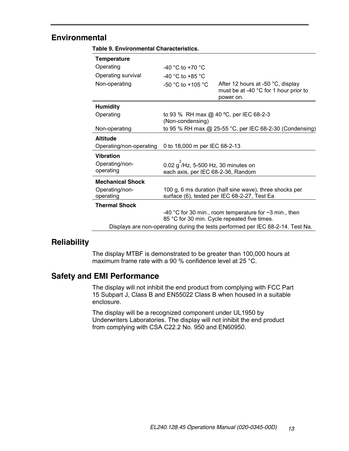### **Environmental**

|  |  | Table 9. Environmental Characteristics. |
|--|--|-----------------------------------------|
|--|--|-----------------------------------------|

| <b>Temperature</b>                                                              |                                                                                                         |                                                                                                              |  |
|---------------------------------------------------------------------------------|---------------------------------------------------------------------------------------------------------|--------------------------------------------------------------------------------------------------------------|--|
| Operating                                                                       | -40 °C to +70 °C                                                                                        |                                                                                                              |  |
| Operating survival                                                              | -40 °C to +85 °C                                                                                        |                                                                                                              |  |
| Non-operating                                                                   | $-50$ °C to $+105$ °C                                                                                   | After 12 hours at -50 °C, display<br>must be at -40 °C for 1 hour prior to<br>power on.                      |  |
| <b>Humidity</b>                                                                 |                                                                                                         |                                                                                                              |  |
| Operating                                                                       | to 93 % RH max @ 40 °C, per IEC 68-2-3<br>(Non-condensing)                                              |                                                                                                              |  |
| Non-operating                                                                   | to 95 % RH max @ 25-55 °C, per IEC 68-2-30 (Condensing)                                                 |                                                                                                              |  |
| <b>Altitude</b>                                                                 |                                                                                                         |                                                                                                              |  |
| Operating/non-operating                                                         | 0 to 18,000 m per IEC 68-2-13                                                                           |                                                                                                              |  |
| Vibration                                                                       |                                                                                                         |                                                                                                              |  |
| Operating/non-<br>operating                                                     | $0.02$ g $/Hz$ , 5-500 Hz, 30 minutes on<br>each axis, per IEC 68-2-36, Random                          |                                                                                                              |  |
| <b>Mechanical Shock</b>                                                         |                                                                                                         |                                                                                                              |  |
| Operating/non-<br>operating                                                     | 100 g, 6 ms duration (half sine wave), three shocks per<br>surface (6), tested per IEC 68-2-27, Test Ea |                                                                                                              |  |
| <b>Thermal Shock</b>                                                            |                                                                                                         |                                                                                                              |  |
|                                                                                 |                                                                                                         | -40 °C for 30 min., room temperature for $\sim$ 3 min., then<br>85 °C for 30 min. Cycle repeated five times. |  |
| Displays are non-operating during the tests performed per IEC 68-2-14. Test Na. |                                                                                                         |                                                                                                              |  |

#### **Reliability**

The display MTBF is demonstrated to be greater than 100,000 hours at maximum frame rate with a 90 % confidence level at 25 °C.

### **Safety and EMI Performance**

The display will not inhibit the end product from complying with FCC Part 15 Subpart J, Class B and EN55022 Class B when housed in a suitable enclosure.

The display will be a recognized component under UL1950 by Underwriters Laboratories. The display will not inhibit the end product from complying with CSA C22.2 No. 950 and EN60950.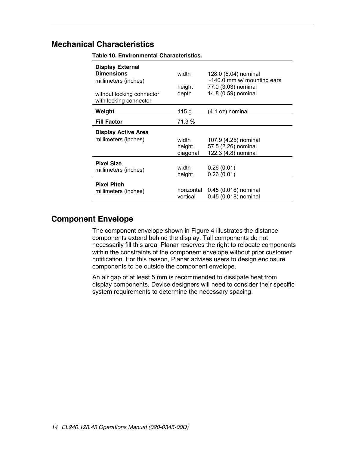## **Mechanical Characteristics**

| <b>Display External</b>                             |            |                                  |
|-----------------------------------------------------|------------|----------------------------------|
| <b>Dimensions</b>                                   | width      | 128.0 (5.04) nominal             |
| millimeters (inches)                                |            | $\sim$ 140.0 mm w/ mounting ears |
|                                                     | height     | 77.0 (3.03) nominal              |
| without locking connector<br>with locking connector | depth      | 14.8 (0.59) nominal              |
| Weight                                              | 115 g      | $(4.1 oz)$ nominal               |
| <b>Fill Factor</b>                                  | 71.3 %     |                                  |
| <b>Display Active Area</b>                          |            |                                  |
| millimeters (inches)                                | width      | 107.9 (4.25) nominal             |
|                                                     | height     | 57.5 (2.26) nominal              |
|                                                     | diagonal   | 122.3 (4.8) nominal              |
| <b>Pixel Size</b>                                   |            |                                  |
| millimeters (inches)                                | width      | 0.26(0.01)                       |
|                                                     | height     | 0.26(0.01)                       |
| <b>Pixel Pitch</b>                                  |            |                                  |
| millimeters (inches)                                | horizontal | 0.45 (0.018) nominal             |
|                                                     | vertical   | 0.45 (0.018) nominal             |

**Table 10. Environmental Characteristics.**

#### **Component Envelope**

The component envelope shown in Figure 4 illustrates the distance components extend behind the display. Tall components do not necessarily fill this area. Planar reserves the right to relocate components within the constraints of the component envelope without prior customer notification. For this reason, Planar advises users to design enclosure components to be outside the component envelope.

An air gap of at least 5 mm is recommended to dissipate heat from display components. Device designers will need to consider their specific system requirements to determine the necessary spacing.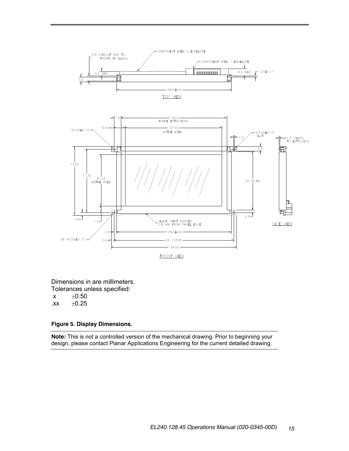

**FRONT VIEW** 

Dimensions in are millimeters. Tolerances unless specified:  $\mathsf{.x}$   $\pm 0.50$  $.xx$   $\pm 0.25$ 

#### **Figure 5. Display Dimensions.**

**Note:** This is not a controlled version of the mechanical drawing. Prior to beginning your design, please contact Planar Applications Engineering for the current detailed drawing.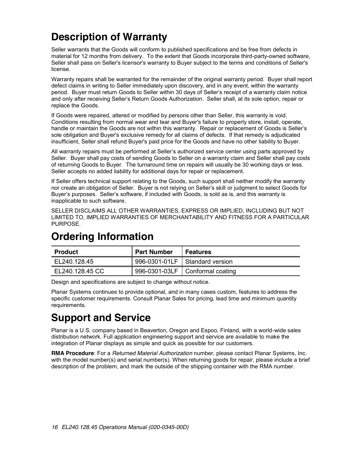# **Description of Warranty**

Seller warrants that the Goods will conform to published specifications and be free from defects in material for 12 months from delivery. To the extent that Goods incorporate third-party-owned software, Seller shall pass on Seller's licensor's warranty to Buyer subject to the terms and conditions of Seller's license.

Warranty repairs shall be warranted for the remainder of the original warranty period. Buyer shall report defect claims in writing to Seller immediately upon discovery, and in any event, within the warranty period. Buyer must return Goods to Seller within 30 days of Seller's receipt of a warranty claim notice and only after receiving Seller's Return Goods Authorization. Seller shall, at its sole option, repair or replace the Goods.

If Goods were repaired, altered or modified by persons other than Seller, this warranty is void. Conditions resulting from normal wear and tear and Buyer's failure to properly store, install, operate, handle or maintain the Goods are not within this warranty. Repair or replacement of Goods is Seller's sole obligation and Buyer's exclusive remedy for all claims of defects. If that remedy is adjudicated insufficient, Seller shall refund Buyer's paid price for the Goods and have no other liability to Buyer.

All warranty repairs must be performed at Seller's authorized service center using parts approved by Seller. Buyer shall pay costs of sending Goods to Seller on a warranty claim and Seller shall pay costs of returning Goods to Buyer. The turnaround time on repairs will usually be 30 working days or less. Seller accepts no added liability for additional days for repair or replacement.

If Seller offers technical support relating to the Goods, such support shall neither modify the warranty nor create an obligation of Seller. Buyer is not relying on Seller's skill or judgment to select Goods for Buyer's purposes. Seller's software, if included with Goods, is sold as is, and this warranty is inapplicable to such software.

SELLER DISCLAIMS ALL OTHER WARRANTIES, EXPRESS OR IMPLIED, INCLUDING BUT NOT LIMITED TO, IMPLIED WARRANTIES OF MERCHANTABILITY AND FITNESS FOR A PARTICULAR PURPOSE.

# **Ordering Information**

| <b>Product</b>  | <b>Part Number</b> | <b>Features</b>                   |
|-----------------|--------------------|-----------------------------------|
| EL240.128.45    |                    | 996-0301-01LF   Standard version  |
| EL240.128.45 CC |                    | 996-0301-03LF   Conformal coating |

Design and specifications are subject to change without notice.

Planar Systems continues to provide optional, and in many cases custom, features to address the specific customer requirements. Consult Planar Sales for pricing, lead time and minimum quantity requirements.

# **Support and Service**

Planar is a U.S. company based in Beaverton, Oregon and Espoo, Finland, with a world-wide sales distribution network. Full application engineering support and service are available to make the integration of Planar displays as simple and quick as possible for our customers.

**RMA Procedure**: For a *Returned Material Authorization* number, please contact Planar Systems, Inc. with the model number(s) and serial number(s). When returning goods for repair, please include a brief description of the problem, and mark the outside of the shipping container with the RMA number.